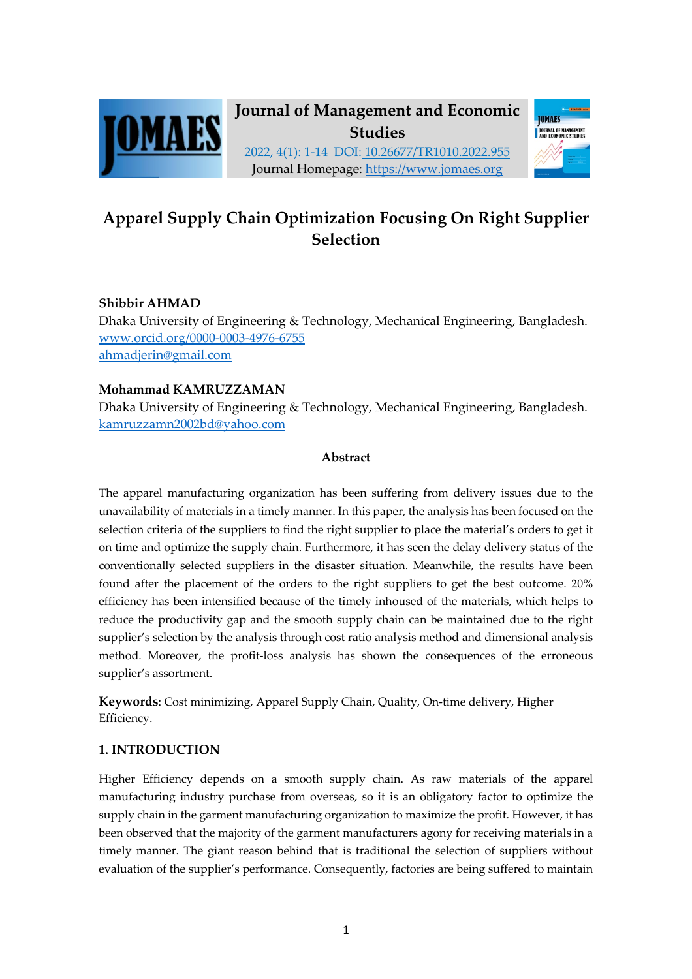

# **Journal of Management and Economic Studies**



2022, 4(1): 1-14 DOI: 10.26677/TR1010.2022.955 Journal Homepage: https://www.jomaes.org

## **Apparel Supply Chain Optimization Focusing On Right Supplier Selection**

## **Shibbir AHMAD**

Dhaka University of Engineering & Technology, Mechanical Engineering, Bangladesh. www.orcid.org/0000-0003-4976-6755 ahmadjerin@gmail.com

## **Mohammad KAMRUZZAMAN**

Dhaka University of Engineering & Technology, Mechanical Engineering, Bangladesh. kamruzzamn2002bd@yahoo.com

## **Abstract**

The apparel manufacturing organization has been suffering from delivery issues due to the unavailability of materials in a timely manner. In this paper, the analysis has been focused on the selection criteria of the suppliers to find the right supplier to place the material's orders to get it on time and optimize the supply chain. Furthermore, it has seen the delay delivery status of the conventionally selected suppliers in the disaster situation. Meanwhile, the results have been found after the placement of the orders to the right suppliers to get the best outcome. 20% efficiency has been intensified because of the timely inhoused of the materials, which helps to reduce the productivity gap and the smooth supply chain can be maintained due to the right supplier's selection by the analysis through cost ratio analysis method and dimensional analysis method. Moreover, the profit-loss analysis has shown the consequences of the erroneous supplier's assortment.

**Keywords**: Cost minimizing, Apparel Supply Chain, Quality, On-time delivery, Higher Efficiency.

## **1. INTRODUCTION**

Higher Efficiency depends on a smooth supply chain. As raw materials of the apparel manufacturing industry purchase from overseas, so it is an obligatory factor to optimize the supply chain in the garment manufacturing organization to maximize the profit. However, it has been observed that the majority of the garment manufacturers agony for receiving materials in a timely manner. The giant reason behind that is traditional the selection of suppliers without evaluation of the supplier's performance. Consequently, factories are being suffered to maintain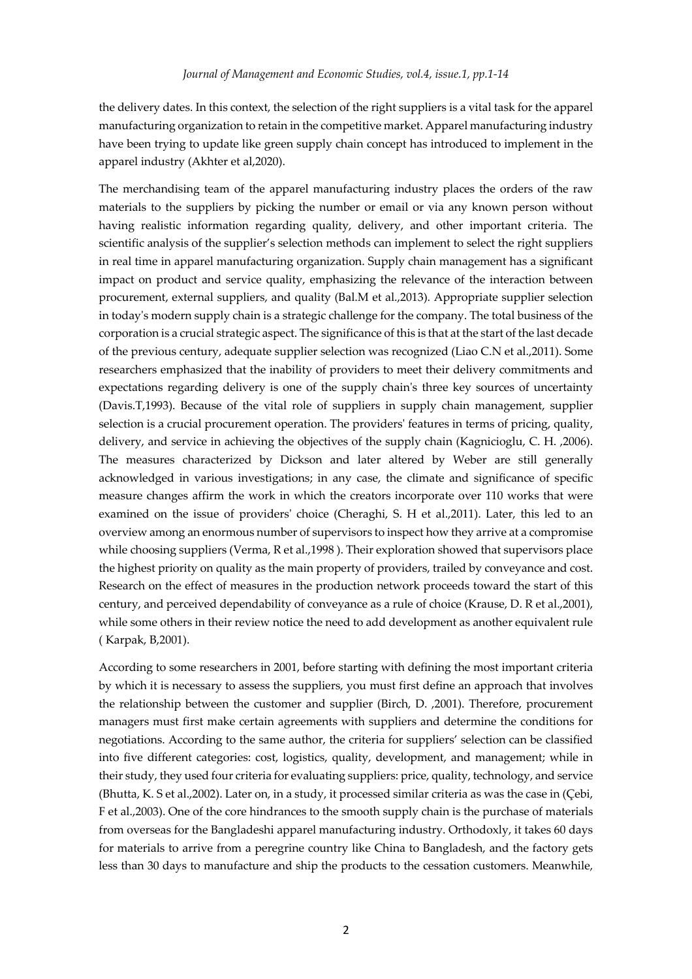the delivery dates. In this context, the selection of the right suppliers is a vital task for the apparel manufacturing organization to retain in the competitive market. Apparel manufacturing industry have been trying to update like green supply chain concept has introduced to implement in the apparel industry (Akhter et al,2020).

The merchandising team of the apparel manufacturing industry places the orders of the raw materials to the suppliers by picking the number or email or via any known person without having realistic information regarding quality, delivery, and other important criteria. The scientific analysis of the supplier's selection methods can implement to select the right suppliers in real time in apparel manufacturing organization. Supply chain management has a significant impact on product and service quality, emphasizing the relevance of the interaction between procurement, external suppliers, and quality (Bal.M et al.,2013). Appropriate supplier selection in today's modern supply chain is a strategic challenge for the company. The total business of the corporation is a crucial strategic aspect. The significance of this is that at the start of the last decade of the previous century, adequate supplier selection was recognized (Liao C.N et al.,2011). Some researchers emphasized that the inability of providers to meet their delivery commitments and expectations regarding delivery is one of the supply chain's three key sources of uncertainty (Davis.T,1993). Because of the vital role of suppliers in supply chain management, supplier selection is a crucial procurement operation. The providers' features in terms of pricing, quality, delivery, and service in achieving the objectives of the supply chain (Kagnicioglu, C. H. ,2006). The measures characterized by Dickson and later altered by Weber are still generally acknowledged in various investigations; in any case, the climate and significance of specific measure changes affirm the work in which the creators incorporate over 110 works that were examined on the issue of providers' choice (Cheraghi, S. H et al.,2011). Later, this led to an overview among an enormous number of supervisors to inspect how they arrive at a compromise while choosing suppliers (Verma, R et al.,1998 ). Their exploration showed that supervisors place the highest priority on quality as the main property of providers, trailed by conveyance and cost. Research on the effect of measures in the production network proceeds toward the start of this century, and perceived dependability of conveyance as a rule of choice (Krause, D. R et al.,2001), while some others in their review notice the need to add development as another equivalent rule ( Karpak, B,2001).

According to some researchers in 2001, before starting with defining the most important criteria by which it is necessary to assess the suppliers, you must first define an approach that involves the relationship between the customer and supplier (Birch, D. ,2001). Therefore, procurement managers must first make certain agreements with suppliers and determine the conditions for negotiations. According to the same author, the criteria for suppliers' selection can be classified into five different categories: cost, logistics, quality, development, and management; while in their study, they used four criteria for evaluating suppliers: price, quality, technology, and service (Bhutta, K. S et al.,2002). Later on, in a study, it processed similar criteria as was the case in (Çebi, F et al.,2003). One of the core hindrances to the smooth supply chain is the purchase of materials from overseas for the Bangladeshi apparel manufacturing industry. Orthodoxly, it takes 60 days for materials to arrive from a peregrine country like China to Bangladesh, and the factory gets less than 30 days to manufacture and ship the products to the cessation customers. Meanwhile,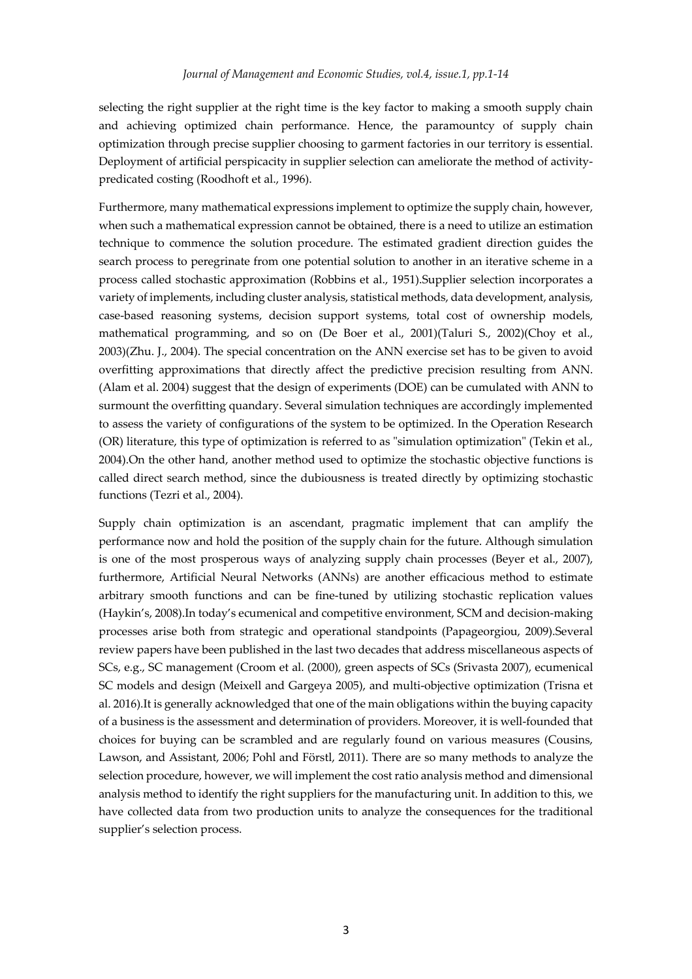selecting the right supplier at the right time is the key factor to making a smooth supply chain and achieving optimized chain performance. Hence, the paramountcy of supply chain optimization through precise supplier choosing to garment factories in our territory is essential. Deployment of artificial perspicacity in supplier selection can ameliorate the method of activitypredicated costing (Roodhoft et al., 1996).

Furthermore, many mathematical expressions implement to optimize the supply chain, however, when such a mathematical expression cannot be obtained, there is a need to utilize an estimation technique to commence the solution procedure. The estimated gradient direction guides the search process to peregrinate from one potential solution to another in an iterative scheme in a process called stochastic approximation (Robbins et al., 1951).Supplier selection incorporates a variety of implements, including cluster analysis, statistical methods, data development, analysis, case-based reasoning systems, decision support systems, total cost of ownership models, mathematical programming, and so on (De Boer et al., 2001)(Taluri S., 2002)(Choy et al., 2003)(Zhu. J., 2004). The special concentration on the ANN exercise set has to be given to avoid overfitting approximations that directly affect the predictive precision resulting from ANN. (Alam et al. 2004) suggest that the design of experiments (DOE) can be cumulated with ANN to surmount the overfitting quandary. Several simulation techniques are accordingly implemented to assess the variety of configurations of the system to be optimized. In the Operation Research (OR) literature, this type of optimization is referred to as "simulation optimization" (Tekin et al., 2004).On the other hand, another method used to optimize the stochastic objective functions is called direct search method, since the dubiousness is treated directly by optimizing stochastic functions (Tezri et al., 2004).

Supply chain optimization is an ascendant, pragmatic implement that can amplify the performance now and hold the position of the supply chain for the future. Although simulation is one of the most prosperous ways of analyzing supply chain processes (Beyer et al., 2007), furthermore, Artificial Neural Networks (ANNs) are another efficacious method to estimate arbitrary smooth functions and can be fine-tuned by utilizing stochastic replication values (Haykin's, 2008).In today's ecumenical and competitive environment, SCM and decision-making processes arise both from strategic and operational standpoints (Papageorgiou, 2009).Several review papers have been published in the last two decades that address miscellaneous aspects of SCs, e.g., SC management (Croom et al. (2000), green aspects of SCs (Srivasta 2007), ecumenical SC models and design (Meixell and Gargeya 2005), and multi-objective optimization (Trisna et al. 2016).It is generally acknowledged that one of the main obligations within the buying capacity of a business is the assessment and determination of providers. Moreover, it is well-founded that choices for buying can be scrambled and are regularly found on various measures (Cousins, Lawson, and Assistant, 2006; Pohl and Förstl, 2011). There are so many methods to analyze the selection procedure, however, we will implement the cost ratio analysis method and dimensional analysis method to identify the right suppliers for the manufacturing unit. In addition to this, we have collected data from two production units to analyze the consequences for the traditional supplier's selection process.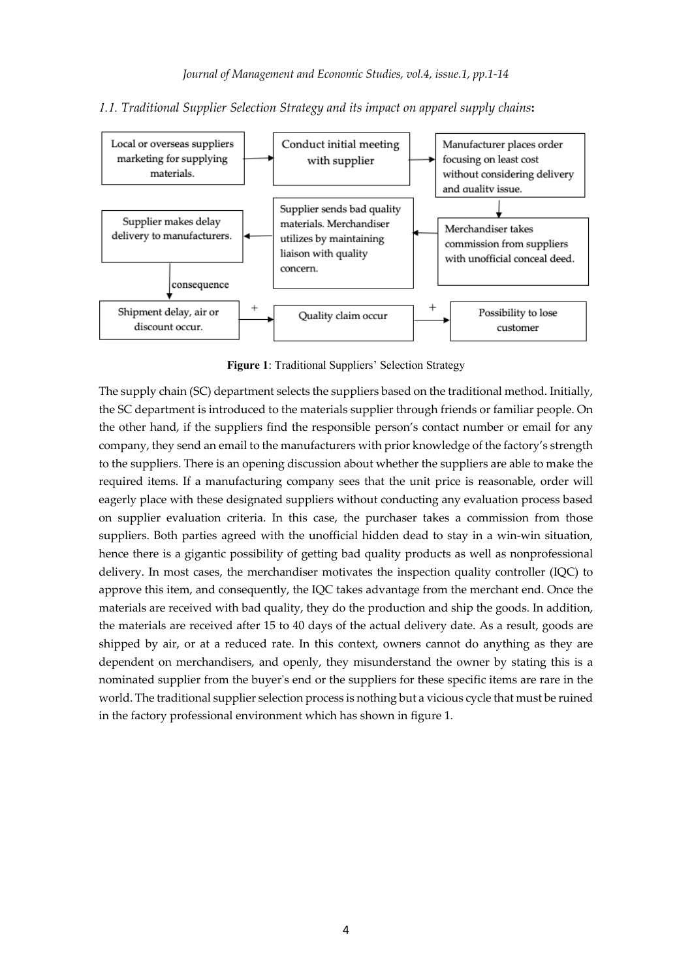

#### *1.1. Traditional Supplier Selection Strategy and its impact on apparel supply chains***:**

**Figure 1**: Traditional Suppliers' Selection Strategy

The supply chain (SC) department selects the suppliers based on the traditional method. Initially, the SC department is introduced to the materials supplier through friends or familiar people. On the other hand, if the suppliers find the responsible person's contact number or email for any company, they send an email to the manufacturers with prior knowledge of the factory's strength to the suppliers. There is an opening discussion about whether the suppliers are able to make the required items. If a manufacturing company sees that the unit price is reasonable, order will eagerly place with these designated suppliers without conducting any evaluation process based on supplier evaluation criteria. In this case, the purchaser takes a commission from those suppliers. Both parties agreed with the unofficial hidden dead to stay in a win-win situation, hence there is a gigantic possibility of getting bad quality products as well as nonprofessional delivery. In most cases, the merchandiser motivates the inspection quality controller (IQC) to approve this item, and consequently, the IQC takes advantage from the merchant end. Once the materials are received with bad quality, they do the production and ship the goods. In addition, the materials are received after 15 to 40 days of the actual delivery date. As a result, goods are shipped by air, or at a reduced rate. In this context, owners cannot do anything as they are dependent on merchandisers, and openly, they misunderstand the owner by stating this is a nominated supplier from the buyer's end or the suppliers for these specific items are rare in the world. The traditional supplier selection process is nothing but a vicious cycle that must be ruined in the factory professional environment which has shown in figure 1.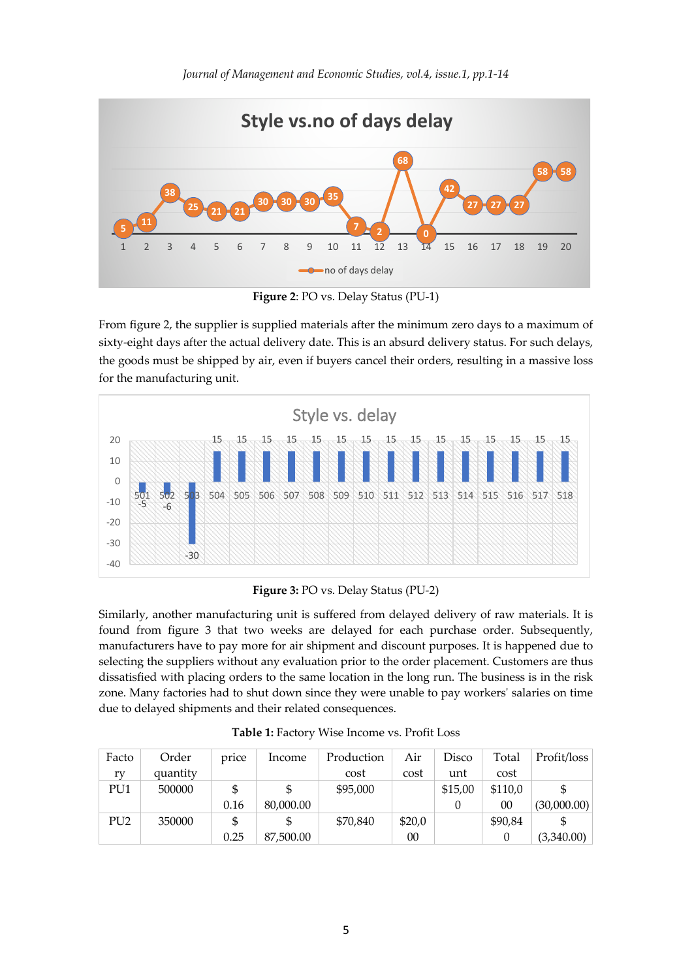

**Figure 2**: PO vs. Delay Status (PU-1)

From figure 2, the supplier is supplied materials after the minimum zero days to a maximum of sixty-eight days after the actual delivery date. This is an absurd delivery status. For such delays, the goods must be shipped by air, even if buyers cancel their orders, resulting in a massive loss for the manufacturing unit.



**Figure 3:** PO vs. Delay Status (PU-2)

Similarly, another manufacturing unit is suffered from delayed delivery of raw materials. It is found from figure 3 that two weeks are delayed for each purchase order. Subsequently, manufacturers have to pay more for air shipment and discount purposes. It is happened due to selecting the suppliers without any evaluation prior to the order placement. Customers are thus dissatisfied with placing orders to the same location in the long run. The business is in the risk zone. Many factories had to shut down since they were unable to pay workers' salaries on time due to delayed shipments and their related consequences.

| Facto           | Order    | price | Income    | Production | Air    | Disco   | Total   | Profit/loss |
|-----------------|----------|-------|-----------|------------|--------|---------|---------|-------------|
| rv              | quantity |       |           | cost       | cost   | unt     | cost    |             |
| PU1             | 500000   |       |           | \$95,000   |        | \$15,00 | \$110,0 |             |
|                 |          | 0.16  | 80,000.00 |            |        |         | 00      | (30,000.00) |
| PU <sub>2</sub> | 350000   | \$    |           | \$70,840   | \$20,0 |         | \$90.84 |             |
|                 |          | 0.25  | 87,500.00 |            | 00     |         |         | (3,340.00)  |

**Table 1:** Factory Wise Income vs. Profit Loss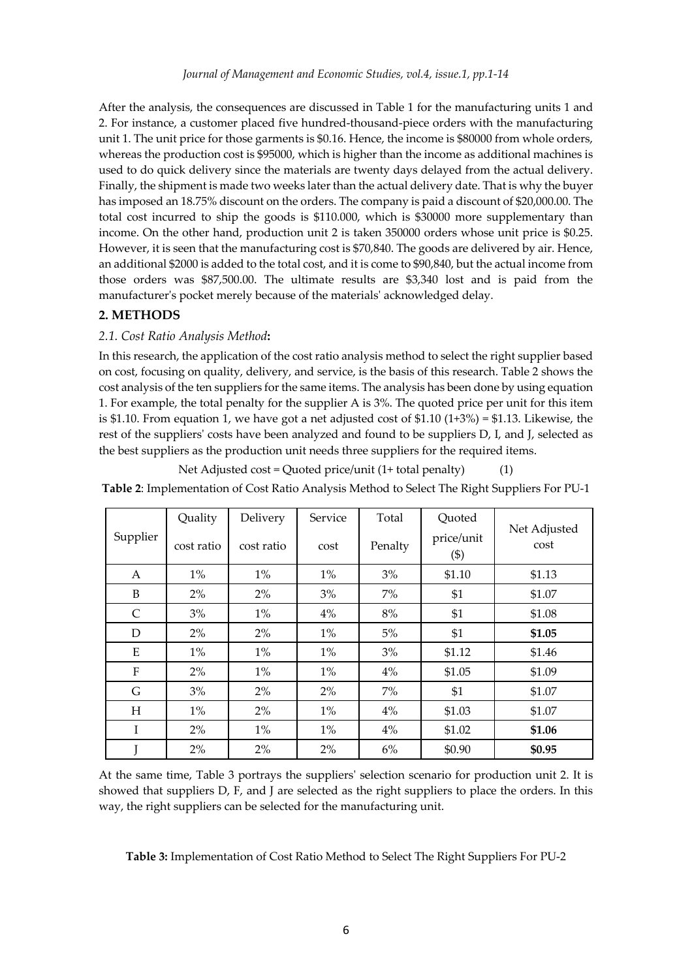After the analysis, the consequences are discussed in Table 1 for the manufacturing units 1 and 2. For instance, a customer placed five hundred-thousand-piece orders with the manufacturing unit 1. The unit price for those garments is \$0.16. Hence, the income is \$80000 from whole orders, whereas the production cost is \$95000, which is higher than the income as additional machines is used to do quick delivery since the materials are twenty days delayed from the actual delivery. Finally, the shipment is made two weeks later than the actual delivery date. That is why the buyer has imposed an 18.75% discount on the orders. The company is paid a discount of \$20,000.00. The total cost incurred to ship the goods is \$110.000, which is \$30000 more supplementary than income. On the other hand, production unit 2 is taken 350000 orders whose unit price is \$0.25. However, it is seen that the manufacturing cost is \$70,840. The goods are delivered by air. Hence, an additional \$2000 is added to the total cost, and it is come to \$90,840, but the actual income from those orders was \$87,500.00. The ultimate results are \$3,340 lost and is paid from the manufacturer's pocket merely because of the materials' acknowledged delay.

## **2. METHODS**

#### *2.1. Cost Ratio Analysis Method***:**

In this research, the application of the cost ratio analysis method to select the right supplier based on cost, focusing on quality, delivery, and service, is the basis of this research. Table 2 shows the cost analysis of the ten suppliers for the same items. The analysis has been done by using equation 1. For example, the total penalty for the supplier A is 3%. The quoted price per unit for this item is \$1.10. From equation 1, we have got a net adjusted cost of  $$1.10 (1+3%) = $1.13$ . Likewise, the rest of the suppliers' costs have been analyzed and found to be suppliers D, I, and J, selected as the best suppliers as the production unit needs three suppliers for the required items.

Net Adjusted cost = Quoted price/unit (1+ total penalty) (1)

**Table 2**: Implementation of Cost Ratio Analysis Method to Select The Right Suppliers For PU-1

| Supplier     | Quality    | Delivery   | Service | Total   | Quoted               | Net Adjusted |
|--------------|------------|------------|---------|---------|----------------------|--------------|
|              | cost ratio | cost ratio | cost    | Penalty | price/unit<br>$(\$)$ | cost         |
| A            | $1\%$      | $1\%$      | $1\%$   | 3%      | \$1.10               | \$1.13       |
| B            | $2\%$      | $2\%$      | 3%      | 7%      | \$1                  | \$1.07       |
| $\mathsf{C}$ | 3%         | $1\%$      | 4%      | $8\%$   | \$1                  | \$1.08       |
| D            | $2\%$      | $2\%$      | $1\%$   | $5\%$   | \$1                  | \$1.05       |
| E            | $1\%$      | $1\%$      | $1\%$   | 3%      | \$1.12               | \$1.46       |
| ${\bf F}$    | $2\%$      | $1\%$      | $1\%$   | 4%      | \$1.05               | \$1.09       |
| G            | 3%         | $2\%$      | $2\%$   | $7\%$   | \$1                  | \$1.07       |
| H            | $1\%$      | $2\%$      | $1\%$   | 4%      | \$1.03               | \$1.07       |
| I            | $2\%$      | $1\%$      | $1\%$   | 4%      | \$1.02               | \$1.06       |
| Т            | $2\%$      | $2\%$      | 2%      | 6%      | \$0.90               | \$0.95       |

At the same time, Table 3 portrays the suppliers' selection scenario for production unit 2. It is showed that suppliers D, F, and J are selected as the right suppliers to place the orders. In this way, the right suppliers can be selected for the manufacturing unit.

**Table 3:** Implementation of Cost Ratio Method to Select The Right Suppliers For PU-2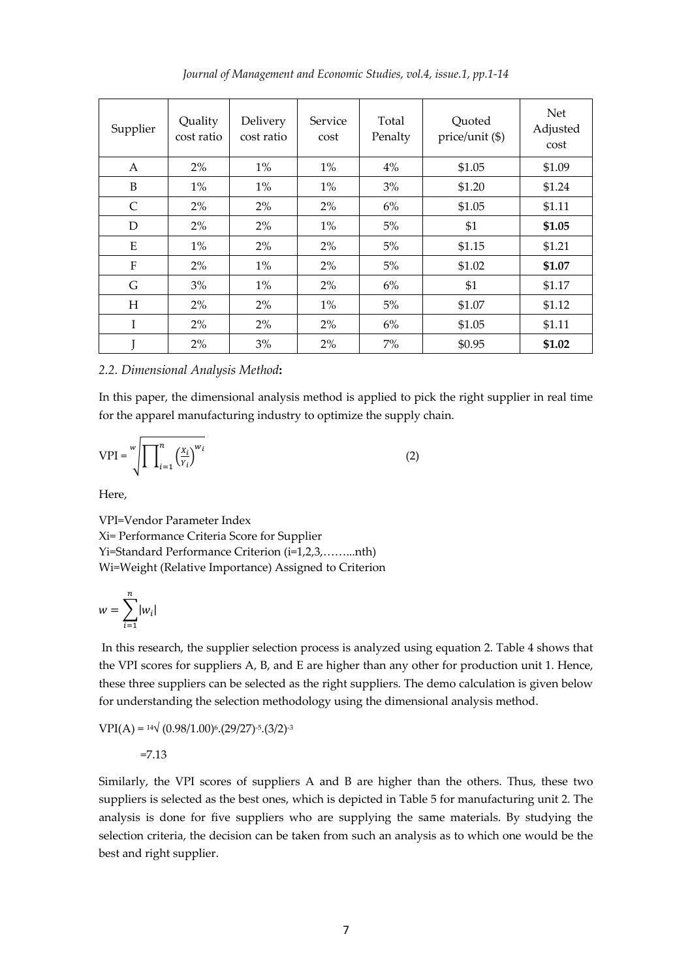*Journal of Management and Economic Studies, vol.4, issue.1, pp.1-14*

| Supplier  | Quality<br>cost ratio | Delivery<br>cost ratio | Service<br>cost | Total<br>Penalty | Quoted<br>price/unit (\$) | <b>Net</b><br>Adjusted<br>cost |
|-----------|-----------------------|------------------------|-----------------|------------------|---------------------------|--------------------------------|
| A         | $2\%$                 | $1\%$                  | $1\%$           | 4%               | \$1.05                    | \$1.09                         |
| B         | $1\%$                 | $1\%$                  | $1\%$           | 3%               | \$1.20                    | \$1.24                         |
| C         | $2\%$                 | 2%                     | $2\%$           | $6\%$            | \$1.05                    | \$1.11                         |
| D         | $2\%$                 | 2%                     | $1\%$           | 5%               | \$1                       | \$1.05                         |
| E         | $1\%$                 | 2%                     | 2%              | 5%               | \$1.15                    | \$1.21                         |
| ${\bf F}$ | 2%                    | $1\%$                  | 2%              | 5%               | \$1.02                    | \$1.07                         |
| G         | 3%                    | $1\%$                  | 2%              | $6\%$            | \$1                       | \$1.17                         |
| H         | $2\%$                 | 2%                     | $1\%$           | 5%               | \$1.07                    | \$1.12                         |
| T         | $2\%$                 | 2%                     | $2\%$           | $6\%$            | \$1.05                    | \$1.11                         |
|           | $2\%$                 | 3%                     | 2%              | 7%               | \$0.95                    | \$1.02                         |

#### *2.2. Dimensional Analysis Method***:**

In this paper, the dimensional analysis method is applied to pick the right supplier in real time for the apparel manufacturing industry to optimize the supply chain.

$$
VPI = \sqrt[W]{\prod_{i=1}^{n} \left(\frac{x_i}{y_i}\right)^{w_i}}
$$
 (2)

Here,

VPI=Vendor Parameter Index Xi= Performance Criteria Score for Supplier Yi=Standard Performance Criterion (i=1,2,3,……...nth) Wi=Weight (Relative Importance) Assigned to Criterion

$$
w = \sum_{i=1}^n |w_i|
$$

In this research, the supplier selection process is analyzed using equation 2. Table 4 shows that the VPI scores for suppliers A, B, and E are higher than any other for production unit 1. Hence, these three suppliers can be selected as the right suppliers. The demo calculation is given below for understanding the selection methodology using the dimensional analysis method.

$$
VPI(A) = 14\sqrt{(0.98/1.00)^6 \cdot (29/27)^{-5} \cdot (3/2)^{-3}}
$$

=7.13

Similarly, the VPI scores of suppliers A and B are higher than the others. Thus, these two suppliers is selected as the best ones, which is depicted in Table 5 for manufacturing unit 2. The analysis is done for five suppliers who are supplying the same materials. By studying the selection criteria, the decision can be taken from such an analysis as to which one would be the best and right supplier.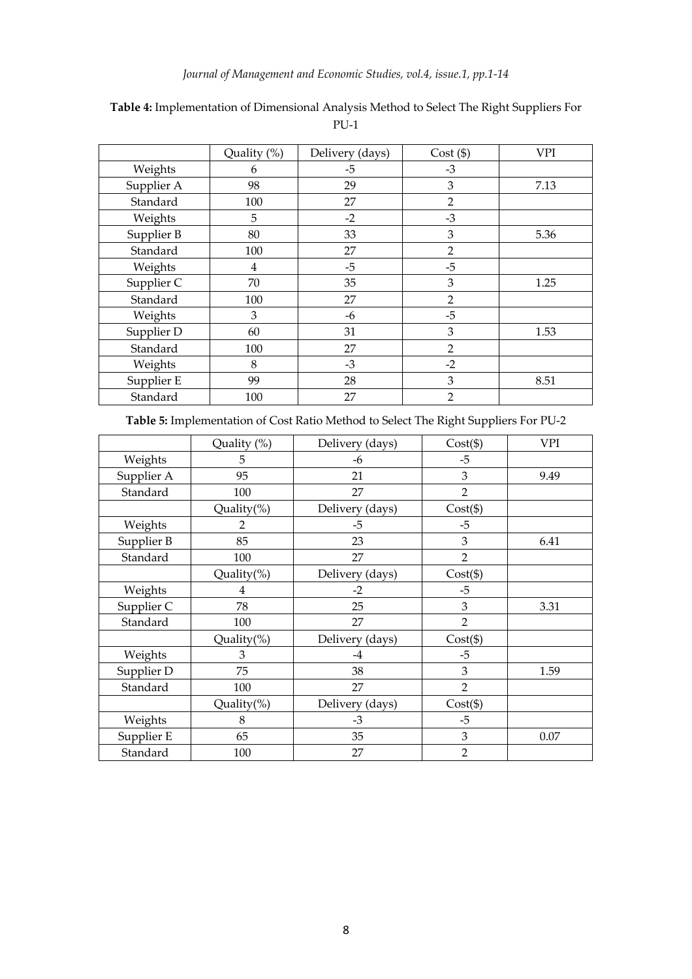## *Journal of Management and Economic Studies, vol.4, issue.1, pp.1-14*

|            | Quality (%) | Delivery (days) | Cost ( \$ )    | <b>VPI</b> |
|------------|-------------|-----------------|----------------|------------|
| Weights    | 6           | $-5$            | $-3$           |            |
| Supplier A | 98          | 29              | 3              | 7.13       |
| Standard   | 100         | 27              | $\overline{2}$ |            |
| Weights    | 5           | $-2$            | $-3$           |            |
| Supplier B | 80          | 33              | 3              | 5.36       |
| Standard   | 100         | 27              | $\overline{2}$ |            |
| Weights    | 4           | $-5$            | $-5$           |            |
| Supplier C | 70          | 35              | 3              | 1.25       |
| Standard   | 100         | 27              | $\overline{2}$ |            |
| Weights    | 3           | -6              | $-5$           |            |
| Supplier D | 60          | 31              | 3              | 1.53       |
| Standard   | 100         | 27              | $\overline{2}$ |            |
| Weights    | 8           | $-3$            | $-2$           |            |
| Supplier E | 99          | 28              | 3              | 8.51       |
| Standard   | 100         | 27              | $\overline{2}$ |            |

## **Table 4:** Implementation of Dimensional Analysis Method to Select The Right Suppliers For PU-1

**Table 5:** Implementation of Cost Ratio Method to Select The Right Suppliers For PU-2

|            | Quality (%)    | Delivery (days) | $Cost(\$)$     | <b>VPI</b> |
|------------|----------------|-----------------|----------------|------------|
| Weights    | 5              | -6              | $-5$           |            |
| Supplier A | 95             | 21              | 3              | 9.49       |
| Standard   | 100            | 27              | $\overline{2}$ |            |
|            | Quality(%)     | Delivery (days) | $Cost(\$)$     |            |
| Weights    | $\overline{2}$ | -5              | $-5$           |            |
| Supplier B | 85             | 23              | 3              | 6.41       |
| Standard   | 100            | 27              | $\overline{2}$ |            |
|            | Quality(%)     | Delivery (days) | $Cost(\$)$     |            |
| Weights    | 4              | $-2$            | $-5$           |            |
| Supplier C | 78             | 25              | 3              | 3.31       |
| Standard   | 100            | 27              | $\overline{2}$ |            |
|            | Quality $(\%)$ | Delivery (days) | $Cost(\$)$     |            |
| Weights    | 3              | -4              | $-5$           |            |
| Supplier D | 75             | 38              | 3              | 1.59       |
| Standard   | 100            | 27              | $\overline{2}$ |            |
|            | Quality(%)     | Delivery (days) | $Cost(\$))$    |            |
| Weights    | 8              | $-3$            | $-5$           |            |
| Supplier E | 65             | 35              | 3              | 0.07       |
| Standard   | 100            | 27              | $\overline{2}$ |            |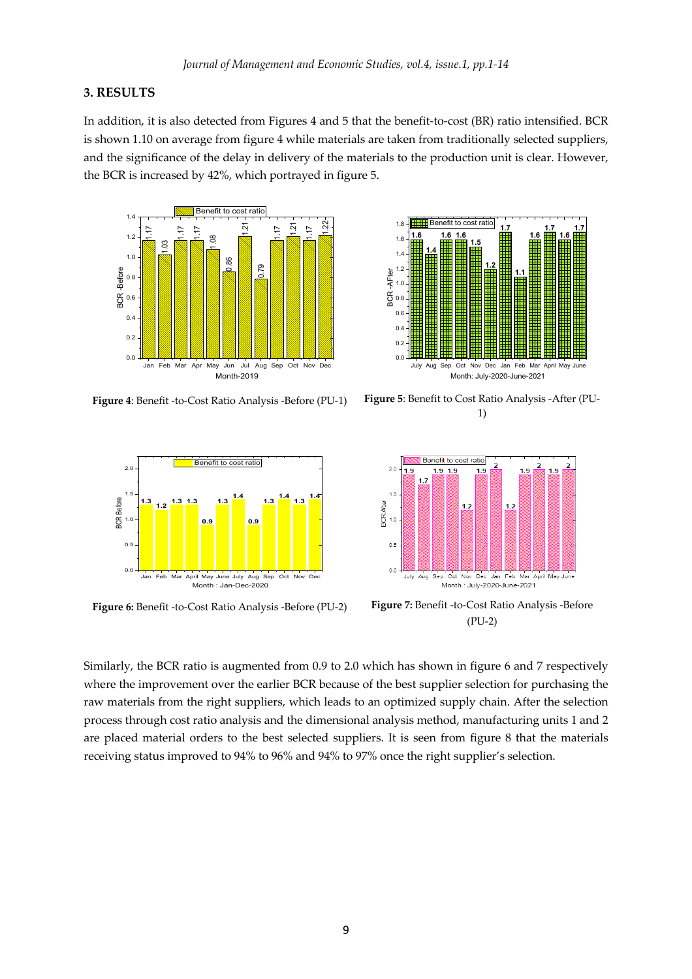#### **3. RESULTS**

In addition, it is also detected from Figures 4 and 5 that the benefit-to-cost (BR) ratio intensified. BCR is shown 1.10 on average from figure 4 while materials are taken from traditionally selected suppliers, and the significance of the delay in delivery of the materials to the production unit is clear. However, the BCR is increased by 42%, which portrayed in figure 5.







**Figure 4**: Benefit -to-Cost Ratio Analysis -Before (PU-1) **Figure 5**: Benefit to Cost Ratio Analysis -After (PU-1)



**Figure 6:** Benefit -to-Cost Ratio Analysis -Before (PU-2) **Figure 7:** Benefit -to-Cost Ratio Analysis -Before (PU-2)

Similarly, the BCR ratio is augmented from 0.9 to 2.0 which has shown in figure 6 and 7 respectively where the improvement over the earlier BCR because of the best supplier selection for purchasing the raw materials from the right suppliers, which leads to an optimized supply chain. After the selection process through cost ratio analysis and the dimensional analysis method, manufacturing units 1 and 2 are placed material orders to the best selected suppliers. It is seen from figure 8 that the materials Example Status improved to 94% to 94% to 94% to 94% to 96% and 94% to 97% once the right supplier's selection.<br>
The central status improved to 94% to 96% and 94% to 96% and 94% to 97% once the right supplier's selection.<br>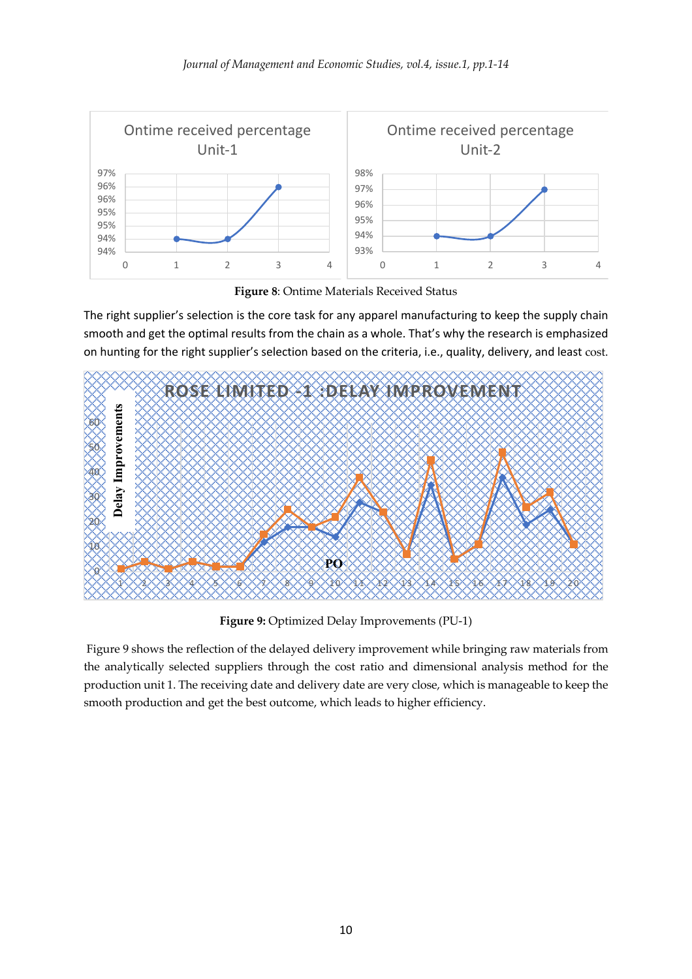

**Figure 8**: Ontime Materials Received Status

The right supplier's selection is the core task for any apparel manufacturing to keep the supply chain smooth and get the optimal results from the chain as a whole. That's why the research is emphasized on hunting for the right supplier's selection based on the criteria, i.e., quality, delivery, and least cost.



**Figure 9:** Optimized Delay Improvements (PU-1)

Figure 9 shows the reflection of the delayed delivery improvement while bringing raw materials from the analytically selected suppliers through the cost ratio and dimensional analysis method for the production unit 1. The receiving date and delivery date are very close, which is manageable to keep the smooth production and get the best outcome, which leads to higher efficiency.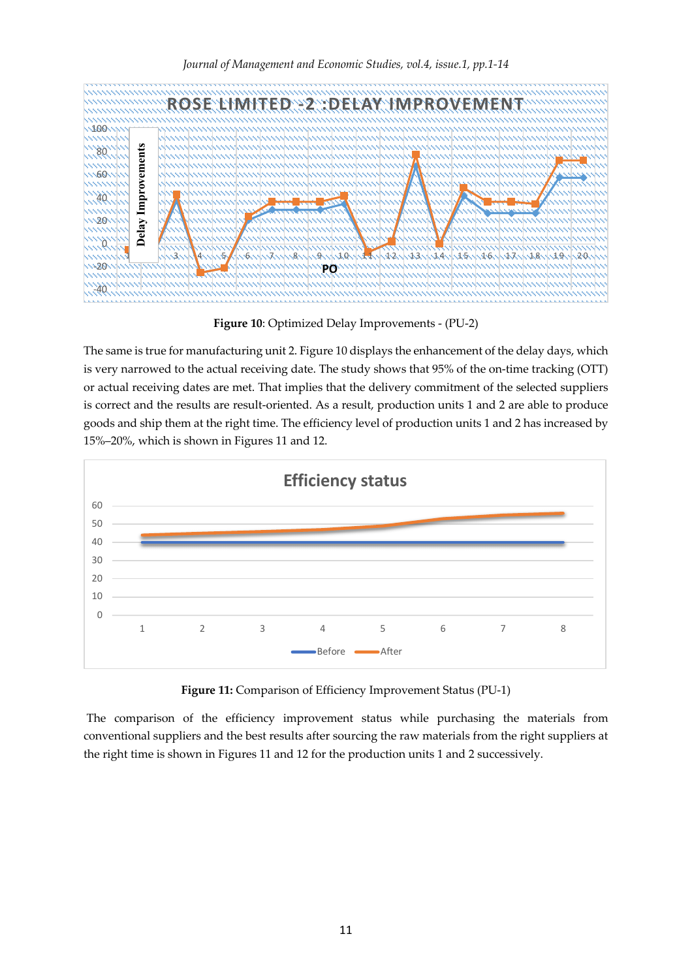

**Figure 10**: Optimized Delay Improvements - (PU-2)

The same is true for manufacturing unit 2. Figure 10 displays the enhancement of the delay days, which is very narrowed to the actual receiving date. The study shows that 95% of the on-time tracking (OTT) or actual receiving dates are met. That implies that the delivery commitment of the selected suppliers is correct and the results are result-oriented. As a result, production units 1 and 2 are able to produce goods and ship them at the right time. The efficiency level of production units 1 and 2 has increased by 15%–20%, which is shown in Figures 11 and 12.



**Figure 11:** Comparison of Efficiency Improvement Status (PU-1)

The comparison of the efficiency improvement status while purchasing the materials from conventional suppliers and the best results after sourcing the raw materials from the right suppliers at the right time is shown in Figures 11 and 12 for the production units 1 and 2 successively.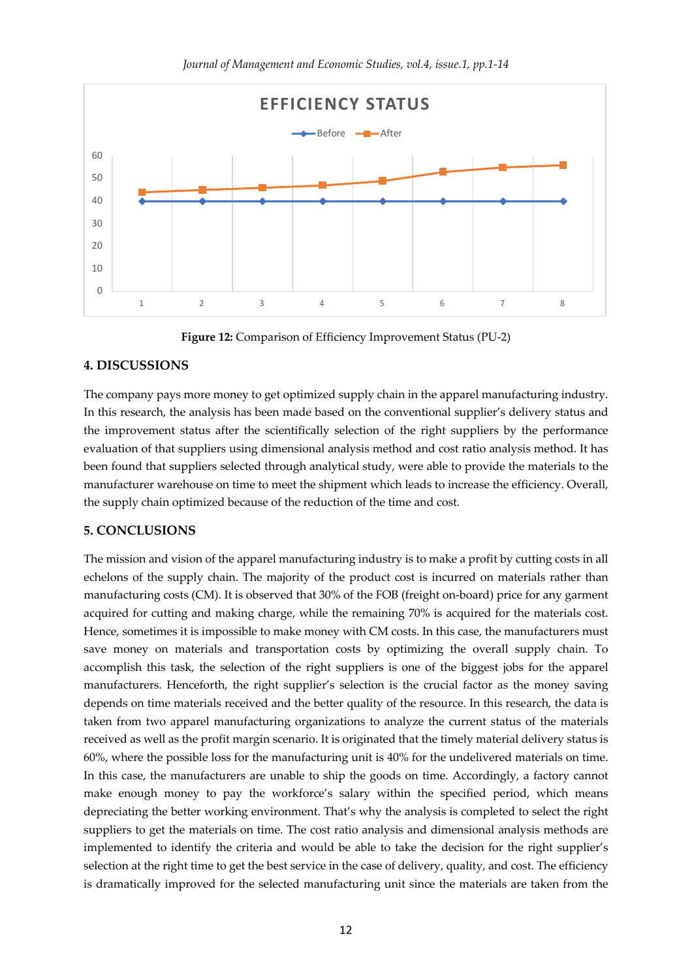

**Figure 12:** Comparison of Efficiency Improvement Status (PU-2)

1 2 3 4 5 6 7 8

#### **4. DISCUSSIONS**

The company pays more money to get optimized supply chain in the apparel manufacturing industry. In this research, the analysis has been made based on the conventional supplier's delivery status and the improvement status after the scientifically selection of the right suppliers by the performance evaluation of that suppliers using dimensional analysis method and cost ratio analysis method. It has been found that suppliers selected through analytical study, were able to provide the materials to the manufacturer warehouse on time to meet the shipment which leads to increase the efficiency. Overall, the supply chain optimized because of the reduction of the time and cost.

#### **5. CONCLUSIONS**

The mission and vision of the apparel manufacturing industry is to make a profit by cutting costs in all echelons of the supply chain. The majority of the product cost is incurred on materials rather than manufacturing costs (CM). It is observed that 30% of the FOB (freight on-board) price for any garment acquired for cutting and making charge, while the remaining 70% is acquired for the materials cost. Hence, sometimes it is impossible to make money with CM costs. In this case, the manufacturers must save money on materials and transportation costs by optimizing the overall supply chain. To accomplish this task, the selection of the right suppliers is one of the biggest jobs for the apparel manufacturers. Henceforth, the right supplier's selection is the crucial factor as the money saving depends on time materials received and the better quality of the resource. In this research, the data is taken from two apparel manufacturing organizations to analyze the current status of the materials received as well as the profit margin scenario. It is originated that the timely material delivery status is 60%, where the possible loss for the manufacturing unit is 40% for the undelivered materials on time. In this case, the manufacturers are unable to ship the goods on time. Accordingly, a factory cannot make enough money to pay the workforce's salary within the specified period, which means depreciating the better working environment. That's why the analysis is completed to select the right suppliers to get the materials on time. The cost ratio analysis and dimensional analysis methods are implemented to identify the criteria and would be able to take the decision for the right supplier's selection at the right time to get the best service in the case of delivery, quality, and cost. The efficiency is dramatically improved for the selected manufacturing unit since the materials are taken from the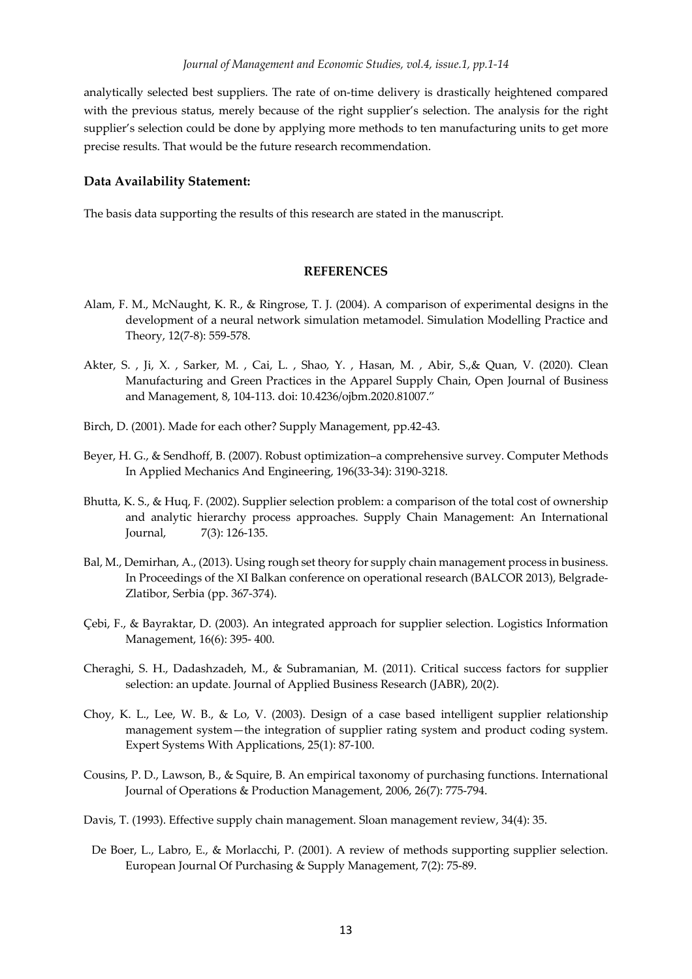analytically selected best suppliers. The rate of on-time delivery is drastically heightened compared with the previous status, merely because of the right supplier's selection. The analysis for the right supplier's selection could be done by applying more methods to ten manufacturing units to get more precise results. That would be the future research recommendation.

#### **Data Availability Statement:**

The basis data supporting the results of this research are stated in the manuscript.

#### **REFERENCES**

- Alam, F. M., McNaught, K. R., & Ringrose, T. J. (2004). A comparison of experimental designs in the development of a neural network simulation metamodel. Simulation Modelling Practice and Theory, 12(7-8): 559-578.
- Akter, S. , Ji, X. , Sarker, M. , Cai, L. , Shao, Y. , Hasan, M. , Abir, S.,& Quan, V. (2020). Clean Manufacturing and Green Practices in the Apparel Supply Chain, Open Journal of Business and Management, 8, 104-113. doi: 10.4236/ojbm.2020.81007."
- Birch, D. (2001). Made for each other? Supply Management, pp.42-43.
- Beyer, H. G., & Sendhoff, B. (2007). Robust optimization–a comprehensive survey. Computer Methods In Applied Mechanics And Engineering, 196(33-34): 3190-3218.
- Bhutta, K. S., & Huq, F. (2002). Supplier selection problem: a comparison of the total cost of ownership and analytic hierarchy process approaches. Supply Chain Management: An International Journal, 7(3): 126-135.
- Bal, M., Demirhan, A., (2013). Using rough set theory for supply chain management process in business. In Proceedings of the XI Balkan conference on operational research (BALCOR 2013), Belgrade-Zlatibor, Serbia (pp. 367-374).
- Çebi, F., & Bayraktar, D. (2003). An integrated approach for supplier selection. Logistics Information Management, 16(6): 395- 400.
- Cheraghi, S. H., Dadashzadeh, M., & Subramanian, M. (2011). Critical success factors for supplier selection: an update. Journal of Applied Business Research (JABR), 20(2).
- Choy, K. L., Lee, W. B., & Lo, V. (2003). Design of a case based intelligent supplier relationship management system—the integration of supplier rating system and product coding system. Expert Systems With Applications, 25(1): 87-100.
- Cousins, P. D., Lawson, B., & Squire, B. An empirical taxonomy of purchasing functions. International Journal of Operations & Production Management, 2006, 26(7): 775-794.
- Davis, T. (1993). Effective supply chain management. Sloan management review, 34(4): 35.
- De Boer, L., Labro, E., & Morlacchi, P. (2001). A review of methods supporting supplier selection. European Journal Of Purchasing & Supply Management, 7(2): 75-89.